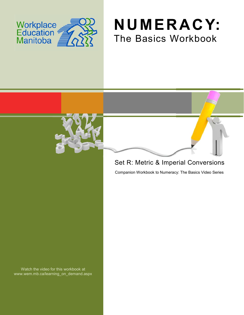





## Set R: Metric & Imperial Conversions

Companion Workbook to Numeracy: The Basics Video Series

Watch the video for this workbook at www.wem.mb.ca/learning\_on\_demand.aspx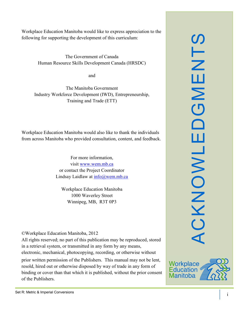Workplace Education Manitoba would like to express appreciation to the following for supporting the development of this curriculum:

> The Government of Canada Human Resource Skills Development Canada (HRSDC)

> > and

The Manitoba Government Industry Workforce Development (IWD), Entrepreneurship, Training and Trade (ETT)

Workplace Education Manitoba would also like to thank the individuals from across Manitoba who provided consultation, content, and feedback.

> For more information, visit [www.wem.mb.ca](http://www.wem.mb.ca/) or contact the Project Coordinator Lindsay Laidlaw at [info@wem.mb.ca](mailto:info@wem.mb.ca)

Workplace Education Manitoba 1000 Waverley Street Winnipeg, MB, R3T 0P3

©Workplace Education Manitoba, 2012

All rights reserved; no part of this publication may be reproduced, stored in a retrieval system, or transmitted in any form by any means, electronic, mechanical, photocopying, recording, or otherwise without

prior written permission of the Publishers. This manual may not be lent, resold, hired out or otherwise disposed by way of trade in any form of binding or cover than that which it is published, without the prior consent of the Publishers.



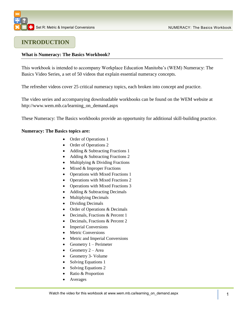## **INTRODUCTION**

### **What is Numeracy: The Basics Workbook?**

This workbook is intended to accompany Workplace Education Manitoba's (WEM) Numeracy: The Basics Video Series, a set of 50 videos that explain essential numeracy concepts.

The refresher videos cover 25 critical numeracy topics, each broken into concept and practice.

The video series and accompanying downloadable workbooks can be found on the WEM website at [http://www.wem.mb.ca/learning\\_on\\_demand.aspx](http://www.wem.mb.ca/learning_on_demand.aspx)

These Numeracy: The Basics workbooks provide an opportunity for additional skill-building practice.

### **Numeracy: The Basics topics are:**

- Order of Operations 1
- Order of Operations 2
- Adding & Subtracting Fractions 1
- Adding & Subtracting Fractions 2
- Multiplying & Dividing Fractions
- $\bullet$  Mixed & Improper Fractions
- Operations with Mixed Fractions 1
- Operations with Mixed Fractions 2
- Operations with Mixed Fractions 3
- Adding & Subtracting Decimals
- Multiplying Decimals
- Dividing Decimals
- Order of Operations & Decimals
- Decimals, Fractions & Percent 1
- Decimals, Fractions & Percent 2
- Imperial Conversions
- Metric Conversions
- Metric and Imperial Conversions
- Geometry  $1 -$  Perimeter
- Geometry  $2 Area$
- Geometry 3- Volume
- Solving Equations 1
- Solving Equations 2
- Ratio & Proportion
- Averages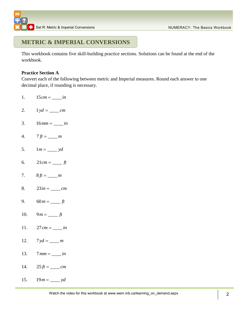## **METRIC & IMPERIAL CONVERSIONS**

This workbook contains five skill-building practice sections. Solutions can be found at the end of the workbook.

### **Practice Section A**

Convert each of the following between metric and Imperial measures. Round each answer to one decimal place, if rounding is necessary.

- 1.  $15 cm =$  *in*
- 2.  $1 yd = \underline{\hspace{2cm}} cm$
- 3.  $16 mm =$  *in*
- 4.  $7 \text{ ft} = \_ m$
- 5.  $1 m =$  *yd*
- 6.  $21 cm =$  *ft*
- 7.  $8 ft = \_ m$
- 8.  $23 in = cm$
- 9.  $60 m =$  *ft*
- 10.  $9m =$   $ft$
- 11.  $27 \, cm = \_ in$
- 12.  $7 yd = \underline{\hspace{2cm}} m$
- 13.  $7$   $mm = \_ in$
- 14.  $25 ft =$ <u>\_\_\_\_\_</u> *cm*
- 15.  $19 m =$  *yd*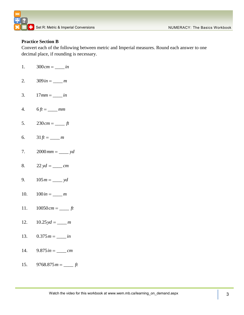### **Practice Section B**

Convert each of the following between metric and Imperial measures. Round each answer to one decimal place, if rounding is necessary.

- 1.  $300 cm =$  *in*
- 2.  $309 in = \_ m$
- 3.  $17$   $mm = \underline{\hspace{2cm}} in$
- 4.  $6 ft = \underline{\hspace{2cm}} mm$
- 5.  $230 cm =$  *ft*
- 6.  $31 ft = \_ m$
- 7.  $2000$   $mm =$   $\frac{d}{dx}$   $yd$
- 8.  $22 yd = \_ cm$
- 9.  $105 m =$  *yd*
- 10.  $100 in = \_ m$
- 11.  $10050 \, cm =$  *ft*
- 12.  $10.25 \,yd = \_ m$
- 13.  $0.375 m =$  *in*
- 14.  $9.875 in = cm$
- 15.  $9768.875 m =$  *ft*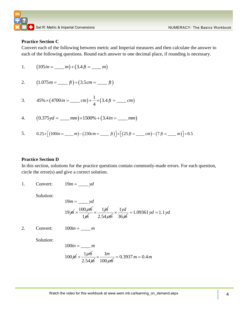### **Practice Section C**

Convert each of the following between metric and Imperial measures and then calculate the answer to each of the following questions. Round each answer to one decimal place, if rounding is necessary.

1. 
$$
(105 \text{ in} = \underline{\hspace{1cm}} m) + (3.4 \text{ ft} = \underline{\hspace{1cm}} m)
$$

2. 
$$
(1.075 m = \underline{\hspace{1cm}} ft) \div (3.5 cm = \underline{\hspace{1cm}} ft)
$$

3. 
$$
45\% \times (4700 \text{ in} = \underline{\hspace{0.2cm}} cm) + \frac{1}{4} \times (3.4 \text{ ft} = \underline{\hspace{0.2cm}} cm)
$$

4. 
$$
(0.375yd = \underline{\hspace{1cm}} mm) \times 1500\% + (3.4in = \underline{\hspace{1cm}} mm)
$$

4. 
$$
(0.375yd = \underline{\hspace{1cm}} mm) \times 1500\% + (3.4in = \underline{\hspace{1cm}} mm)
$$
  
5.  $0.25 \times [(100in = \underline{\hspace{1cm}} m) - (230cm = \underline{\hspace{1cm}} ft)] \times [(25 ft = \underline{\hspace{1cm}} cm) - (7 ft = \underline{\hspace{1cm}} m)] \div 0.5$ 

### **Practice Section D**

In this section, solutions for the practice questions contain commonly-made errors. For each question, circle the error(s) and give a correct solution.

1. Convert:  $19m =$  *yd* 

Solution:

$$
19m = \underline{\qquad}yd
$$
  
 
$$
19\cancel{m} \times \frac{100\cancel{em}}{1\cancel{m}} \times \frac{1\cancel{m}}{2.54\cancel{em}} \times \frac{1\cancel{yd}}{36\cancel{m}} = 1.09361 \text{ yd} = 1.1 \text{ yd}
$$

2. Convert:  $100 in = \_ m$ 

Solution:

$$
100in = \underline{\qquad} m
$$
  

$$
100 \cancel{m} \times \frac{1 \cancel{em}}{2.54 \cancel{m}} \times \frac{1m}{100 \cancel{em}} = 0.3937 \text{ m} = 0.4 \text{ m}
$$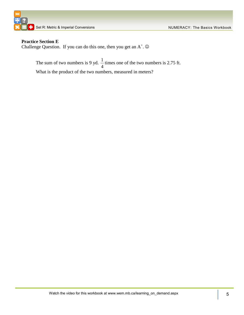

### **Practice Section E**

Challenge Question. If you can do this one, then you get an  $A^+$ .  $\odot$ 

The sum of two numbers is 9 yd.  $\frac{1}{2}$ 4 times one of the two numbers is 2.75 ft. What is the product of the two numbers, measured in meters?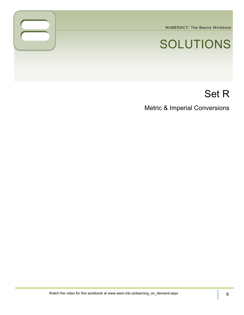NUMERACY: The Basics Workbook

# SOLUTIONS

## Set R

Metric & Imperial Conversions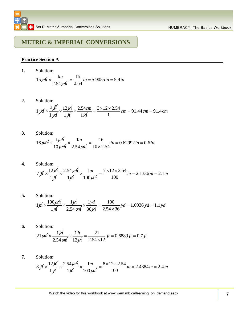## **METRIC & IMPERIAL CONVERSIONS**

### **Practice Section A**

**1.** Solution:

Solution:  
\n
$$
15 \cancel{e m} \times \frac{1 \text{in}}{2.54 \cancel{e m}} = \frac{15}{2.54} \text{in} = 5.9055 \text{in} = 5.9 \text{in}
$$

**2.** Solution:

Solution:  
\n
$$
1 yd \times \frac{3 \cancel{f}^4}{1 \cancel{f}^4} \times \frac{12 \cancel{f}^4}{1 \cancel{f}^4} \times \frac{2.54 \text{ cm}}{1 \cancel{f}^4} = \frac{3 \times 12 \times 2.54}{1} \text{ cm} = 91.44 \text{ cm} = 91.4 \text{ cm}
$$

Solution:  
\n
$$
16 \mu m \times \frac{1 \rho m}{10 \mu m} \times \frac{1 \dot{m}}{2.54 \rho m} = \frac{16}{10 \times 2.54} \dot{m} = 0.62992 \dot{m} = 0.6 \dot{m}
$$

- **4.** Solution: 7  $f \nmid \times \frac{12 \cancel{m}}{4}$ 1 *ft*  $\times \frac{2.54 \cancel{cm}}{4.1}$ 1*in* 1 100 *m cm*  $\times$  $\frac{7 \times 12 \times 2.54}{100}$  m = 2.1336 m = 2.1 m  $=\frac{7\times12\times2.54}{100}m=2.1336m=2.1m$
- **5.** Solution:  $1/m \times \frac{100 \text{ cm}}{4}$ 1*m*  $\times \frac{1 \cancel{m}}{ }$ 2.54 *cm* 1 36 *yd in*  $\times$  $\frac{100}{54 \times 36}$  yd = 1.0936 yd = 1.1  $\frac{100}{2.54 \times 36}$  $=\frac{100}{2.54\times36}$  yd = 1.0936 yd = 1.1 yd
- **6.** Solution:  $21 \cancel{cm} \times \frac{1 \cancel{m}}{1}$ 2.54 *cm* 1 12 *ft in*  $\times \frac{1 \textit{ft}}{12 \textit{th}} = \frac{21}{2.54 \times 12} \textit{ft} = 0.6889 \textit{ft} = 0.7$  $\frac{21}{2.54 \times 12}$  $f(t) = \frac{21}{2.54 \times 12}$  *ft* = 0.6889 *ft* = 0.7 *ft*
- **7.** Solution:  $8 \text{ ft} \times \frac{12 \text{ j} \text{h}}{1}$ 1 *ft*  $\times \frac{2.54 \text{ cm}}{4}$ 1*in* 1 100 *m cm*  $\times$  $\frac{8 \times 12 \times 2.54}{100}$  *m* = 2.4384 *m* = 2.4 *m*  $=\frac{8\times12\times2.54}{100}m=2.4384 m=2.4 m$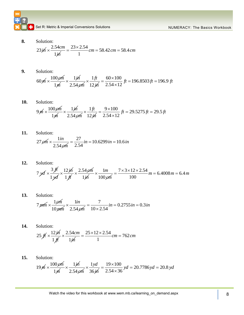**8.** Solution:

Solution:  
\n
$$
23 \cancel{m} \times \frac{2.54 \text{ cm}}{1 \cancel{m}} = \frac{23 \times 2.54}{1} \text{ cm} = 58.42 \text{ cm} = 58.4 \text{ cm}
$$

**9.** Solution:

Solution:  
\n
$$
60 \cancel{m} \times \frac{100 \cancel{em}}{1 \cancel{m}} \times \frac{1 \cancel{m}}{2.54 \cancel{em}} \times \frac{1 \cancel{ft}}{12 \cancel{m}} = \frac{60 \times 100}{2.54 \times 12} \cancel{ft} = 196.8503 \cancel{ft} = 196.9 \cancel{ft}
$$

**10.** Solution:

Solution:  
\n
$$
9 \cancel{m} \times \frac{100 \cancel{em}}{1 \cancel{m}} \times \frac{1 \cancel{m}}{2.54 \cancel{em}} \times \frac{1 \cancel{ft}}{12 \cancel{m}} = \frac{9 \times 100}{2.54 \times 12} \cancel{ft} = 29.5275 \cancel{ft} = 29.5 \cancel{ft}
$$

Solution:  
\n
$$
27 \cancel{e m} \times \frac{1 \text{ in}}{2.54 \cancel{e m}} = \frac{27}{2.54} \text{ in} = 10.6299 \text{ in} = 10.6 \text{ in}
$$

- **12.** Solution: 7 *yd* 3 *ft*  $\times$ 1 *yd*  $\times \frac{12 \cancel{m}}{ }$ 1 *ft*  $\times \frac{2.54 \cancel{cm}}{4}$ 1*in* 1 100 *m cm*  $\times$  $\frac{7 \times 3 \times 12 \times 2.54}{100}$  m = 6.4008 m = 6.4 m  $=\frac{7 \times 3 \times 12 \times 2.54}{100} m = 6.4008 m = 6.4 m$
- **13.** Solution: 7 *mm* 1*cm* 10 *mm* 1 2.54 *in cm*  $x \frac{1in}{1} = \frac{7}{10}$  $0.2755$  in = 0.3  $\frac{7}{10 \times 2.54}$  $=\frac{7}{10\times 2.54}$  in  $= 0.2755$  in  $= 0.3$  in
- **14.** Solution: 25  $f \nvert \times \frac{12 \, \cancel{\hspace{0.5pt}} m}{\sqrt{25}}$ 1 *ft* 2.54 1 *cm in*  $x \frac{2.54cm}{1.64 \times 10^{14}} = \frac{25 \times 12 \times 2.54}{1.64 \times 10^{14}} cm = 762$  $\frac{2 \times 2.54}{1}$  *cm* = 762 *cm*  $=\frac{25\times12\times2.54}{1}$  cm = 762 cm
- **15.** Solution:

Solution:  
\n
$$
19 \cancel{m} \times \frac{100 \cancel{em}}{1 \cancel{m}} \times \frac{1 \cancel{m}}{2.54 \cancel{em}} \times \frac{1 \cancel{yd}}{36 \cancel{m}} = \frac{19 \times 100}{2.54 \times 36} \text{ yd} = 20.7786 \text{ yd} = 20.8 \text{ yd}
$$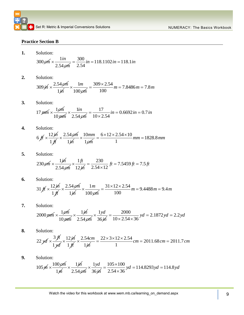### **Practice Section B**

**1.** Solution:

Solution:  
\n
$$
300 \, \text{cm} \times \frac{1 \, \text{in}}{2.54 \, \text{cm}} = \frac{300}{2.54} \, \text{in} = 118.1102 \, \text{in} = 118.1 \, \text{in}
$$

**2.** Solution:

Solution:  
309 j*h* × 
$$
\frac{2.54 \cancel{em}}{1 \cancel{ih}} \times \frac{1m}{100 \cancel{em}} = \frac{309 \times 2.54}{100} m = 7.8486 m = 7.8 m
$$

Solution:  
\n
$$
17 \text{ pmm} \times \frac{1 \text{ pm}}{10 \text{ mm}} \times \frac{1 \text{ in}}{2.54 \text{ pm}} = \frac{17}{10 \times 2.54} \text{ in} = 0.6692 \text{ in} = 0.7 \text{ in}
$$

- **4.** Solution: 6  $f \nmid \times \frac{12 \cancel{m}}{4}$ 1 *ft*  $\times \frac{2.54 \text{ cm}}{4}$ 1*in* 10 1 *mm cm*  $\times \frac{10mm}{100} = \frac{6 \times 12 \times 2.54 \times 10}{100}$  nm = 1828.8  $\frac{2.54 \times 10}{1}$  mm = 1828.8 mm  $=\frac{6\times12\times2.54\times10}{1}$  nm = 1828.8 mn
- **5.** Solution:

Solution:  
\n
$$
230 \cancel{cm} \times \frac{1 \cancel{m}}{2.54 \cancel{cm}} \times \frac{1 \cancel{ft}}{12 \cancel{m}} = \frac{230}{2.54 \times 12} \cancel{ft} = 7.5459 \cancel{ft} = 7.5 \cancel{ft}
$$

- **6.** Solution:  $31 \text{ ft} \times \frac{12 \text{ j} \text{h}}{11 \text{ ft}}$ 1 *ft*  $\times \frac{2.54 \cancel{cm}}{4.1}$ 1*in* 1 100 *m cm*  $\times$  $\frac{31 \times 12 \times 2.54}{100}$  m = 9.4488 m = 9.4 m  $=\frac{31\times12\times2.54}{100}m=9.4488m=9.4m$
- **7.** Solution:

Solution:  
\n
$$
2000 \,\mu\text{m} \times \frac{1 \,\rho\text{m}}{10 \,\mu\text{m}} \times \frac{1 \,\text{m}}{2.54 \,\rho\text{m}} \times \frac{1 \,\text{yd}}{36 \,\text{m}} = \frac{2000}{10 \times 2.54 \times 36} \,\text{yd} = 2.1872 \,\text{yd} = 2.2 \,\text{yd}
$$

- **8.** Solution: 22 *yd* 3 *ft*  $\times$ 1 *yd*  $\times \frac{12 \cancel{m}}{ }$ 1 *ft* 2.54 1 *cm in*  $\times$  $22 \times 3 \times 12 \times 2.54$  *cm* = 2011.68 *cm* = 2011.7 *cm*  $36 \mu$  10×2.54×36<br>=  $\frac{22 \times 3 \times 12 \times 2.54}{1}$  cm = 2011.68 cm = 2011.7 cm
- **9.** Solution:

Solution:  
\n
$$
105 \cancel{m} \times \frac{100 \cancel{em}}{1 \cancel{m}} \times \frac{1 \cancel{m}}{2.54 \cancel{em}} \times \frac{1 \cancel{yd}}{36 \cancel{m}} = \frac{105 \times 100}{2.54 \times 36} \cancel{yd} = 114.8293 \cancel{yd} = 114.8\cancel{yd}
$$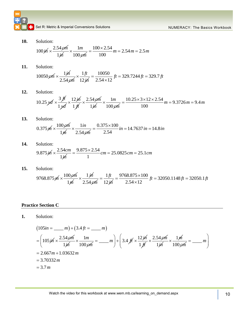**C** Set R: Metric & Imperial Conversions Solutions Numeral Constantine Conversions NUMERACY: The Basics Workbook

**10.** Solution:

Solution:  
\n
$$
100 \cancel{m} \times \frac{2.54 \cancel{m}}{1 \cancel{m}} \times \frac{1m}{100 \cancel{m}} = \frac{100 \times 2.54}{100} m = 2.54 m = 2.5 m
$$

**11.** Solution:

Solution:  
\n
$$
10050 \, \text{cm} \times \frac{1 \, \text{m}}{2.54 \, \text{cm}} \times \frac{1 \, \text{ft}}{12 \, \text{m}} = \frac{10050}{2.54 \times 12} \, \text{ft} = 329.7244 \, \text{ft} = 329.7 \, \text{ft}
$$

**12.** Solution:

Solution:  
\n
$$
2.54 \cancel{g} \cancel{m} = 2.54 \times 12^{-3} = 22.72 + 3.72 = 22.73 = 22.73 = 22.73 = 22.54
$$
\n
$$
10.25 \cancel{g} \cancel{d} \times \frac{3 \cancel{f}}{1 \cancel{g}} \times \frac{12 \cancel{g}}{1 \cancel{f}} \times \frac{2.54 \cancel{g}}{1 \cancel{g}} \times \frac{1}{100 \cancel{g}} = \frac{10.25 \times 3 \times 12 \times 2.54}{100} = 9.3726 = 9.4 \text{ m}
$$

**13.** Solution:

Solution:  
 
$$
0.375 \text{ m} \times \frac{100 \text{ cm}}{1 \text{ m}} \times \frac{1 \text{ in}}{2.54 \text{ cm}} = \frac{0.375 \times 100}{2.54} \text{ in } = 14.7637 \text{ in } = 14.8 \text{ in}
$$

**14.** Solution:

Solution:  
9.875 
$$
\dot{m} \times \frac{2.54cm}{1\dot{m}} = \frac{9.875 \times 2.54}{1} cm = 25.0825 cm = 25.1 cm
$$

**15.** Solution:

$$
9.873 \mu \times \frac{1}{1 \text{ m}} = \frac{1}{1} \text{ cm} = 25.0825 \text{ cm} = 25.1 \text{ cm}
$$
  
Solution:  

$$
9768.875 \mu \times \frac{100 \rho \text{m}}{1 \text{ m}} \times \frac{1 \text{ m}}{2.54 \rho \text{m}} = \frac{1 \text{ ft}}{12 \text{ m}} = \frac{9768.875 \times 100}{2.54 \times 12} \text{ ft} = 32050.1148 \text{ ft} = 32050.1 \text{ ft}
$$

### **Practice Section C**

Solution:  
\n
$$
(105in = \underline{\hspace{1cm}} m) + (3.4ft = \underline{\hspace{1cm}} m)
$$
\n
$$
= \left(105 \text{ j/}n \times \frac{2.54 \text{ j/}m}{1 \text{ j/}n} \times \frac{1m}{100 \text{ j/}m} = \underline{\hspace{1cm}} m \right) + \left(3.4 \text{ j/}n \times \frac{12 \text{ j/}n}{1 \text{ j/}n} \times \frac{2.54 \text{ j/}m}{1 \text{ j/}n} \times \frac{1 \text{ j/}n}{100 \text{ j/}m} = \underline{\hspace{1cm}} m \right)
$$
\n
$$
= 2.667m + 1.03632m
$$
\n
$$
= 3.70332m
$$
\n
$$
= 3.7m
$$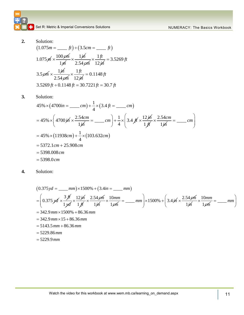

**2.** Solution:

Solution:  
\n
$$
(1.075m = \underline{\hspace{1cm}} ft) \div (3.5cm = \underline{\hspace{1cm}} ft)
$$
\n
$$
1.075m \times \frac{100 \cancel{e}m}{1 \cancel{m}} \times \frac{1 \cancel{m}}{2.54 \cancel{e}m} \times \frac{1 \cancel{f}t}{12 \cancel{m}} = 3.5269 \cancel{f}t
$$
\n
$$
3.5 \cancel{e}m \times \frac{1 \cancel{m}}{2.54 \cancel{e}m} \times \frac{1 \cancel{f}t}{12 \cancel{m}} = 0.1148 \cancel{f}t
$$
\n
$$
3.5269 \cancel{f}t \div 0.1148 \cancel{f}t = 30.7221 \cancel{f}t = 30.7 \cancel{f}t
$$

**3.** Solution:

Solution:  
\n
$$
45\% \times (4700in = \underline{\hspace{1cm}} cm) + \frac{1}{4} \times (3.4ft = \underline{\hspace{1cm}} cm)
$$
\n
$$
= 45\% \times \left(4700 \text{ in } \frac{2.54cm}{1 \text{ in } \frac{1}{2}} = \underline{\hspace{1cm}} cm\right) + \frac{1}{4} \times \left(3.4 \text{ if } \frac{12 \text{ in } \times 2.54cm}{1 \text{ in } \frac{1}{2}} = \underline{\hspace{1cm}} cm\right)
$$
\n
$$
= 45\% \times (11938cm) + \frac{1}{4} \times (103.632cm)
$$
\n
$$
= 5372.1cm + 25.908cm
$$
\n
$$
= 5398.008cm
$$
\n
$$
= 5398.0cm
$$

Solution:  
\n
$$
(0.375 yd = \underline{\hspace{1cm}} mm) \times 1500\% + (3.4in = \underline{\hspace{1cm}} mm)
$$
\n
$$
= \left(0.375 yd \times \frac{3 \cancel{f1}}{1 \cancel{f4}} \times \frac{12 \cancel{f1}}{1 \cancel{f1}} \times \frac{2.54 \cancel{g1}}{1 \cancel{f1}} \times \frac{10mm}{1 \cancel{g1}} = \underline{\hspace{1cm}} mm \right) \times 1500\% + \left(3.4 \cancel{f1} \times \frac{2.54 \cancel{g1}}{1 \cancel{f1}} \times \frac{10mm}{1 \cancel{g1}} = \underline{\hspace{1cm}} mm \right)
$$
\n
$$
= 342.9 \text{ mm} \times 1500\% + 86.36 \text{ mm}
$$
\n
$$
= 342.9 \text{ mm} \times 15 + 86.36 \text{ mm}
$$
\n
$$
= 5143.5 \text{ mm} + 86.36 \text{ mm}
$$
\n
$$
= 5229.86 \text{ mm}
$$
\n
$$
= 5229.9 \text{ mm}
$$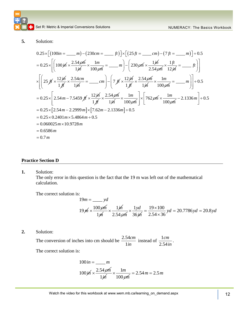### **5.** Solution:

Solution:  
\n
$$
0.25 \times \left[ (100in = \underline{\hspace{1cm}} m) - (230cm = \underline{\hspace{1cm}} f) \right] \times \left[ (25f = \underline{\hspace{1cm}} cm) - (7f = \underline{\hspace{1cm}} m) \right] \div 0.5
$$
\n
$$
= 0.25 \times \left[ \left( 100j/6 \times \frac{2.54j/6}{1j/6} \times \frac{1m}{100j/6} \right) = \underline{\hspace{1cm}} m \right) - \left( 230j/6 \times \frac{1j/6}{2.54j/6} \times \frac{1f}{12j/6} \right) = \underline{\hspace{1cm}} f) \right]
$$
\n
$$
\times \left[ \left( 25j/6 \times \frac{12j/6}{1j/6} \times \frac{2.54cm}{1j/6} \right) = \underline{\hspace{1cm}} cm \right) - \left( 7j/6 \times \frac{12j/6}{1j/6} \times \frac{2.54j/6}{1j/6} \times \frac{1m}{100j/6} \right) = \underline{\hspace{1cm}} m \right] \div 0.5
$$
\n
$$
= 0.25 \times \left[ 2.54m - 7.5459j/6 \times \frac{12j/6}{1j/6} \times \frac{2.54j/6}{1j/6} \times \frac{1m}{100j/6} \right] \times \left[ 762j/6 \times \frac{1m}{100j/6} - 2.1336j/6 \right] \div 0.5
$$
\n
$$
= 0.25 \times \left[ 2.54m - 2.2999j/6 \times 2.54j/6 \times \frac{1m}{100j/6} \right] \times \left[ 762j/6 \times \frac{1m}{100j/6} - 2.1336j/6 \right] \div 0.5
$$
\n
$$
= 0.25 \times 0.2401m \times 5.4864j/6 \times 5.5
$$
\n
$$
= 0.060025m \times 10.9728m
$$
\n
$$
= 0.6586m
$$
\n
$$
= 0.7m
$$

### **Practice Section D**

**1.** Solution:

The only error in this question is the fact that the 19 m was left out of the mathematical calculation.

The correct solution is:

$$
19m = \underline{\qquad}yd
$$
  
 
$$
19\cancel{m} \times \frac{100\cancel{cm}}{1\cancel{m}} \times \frac{1\cancel{m}}{2.54\cancel{cm}} \times \frac{1\cancel{yd}}{36\cancel{m}} = \frac{19 \times 100}{2.54 \times 36}yd = 20.7786yd = 20.8yd
$$

**2.** Solution:

The conversion of inches into cm should be  $\frac{2.54}{\cdots}$ 1 *cm in* instead of  $\frac{1}{1}$ 2.54 *cm in* .

The correct solution is:

$$
100 \text{ in} = \underline{m}
$$
  

$$
100 \text{ j} \wedge \frac{2.54 \text{ g} \wedge \underline{m}}{1 \text{ j} \wedge \frac{1}{100 \text{ g} \wedge \underline{m}}}
$$
  

$$
= 2.54 \text{ m} = 2.5 \text{ m}
$$